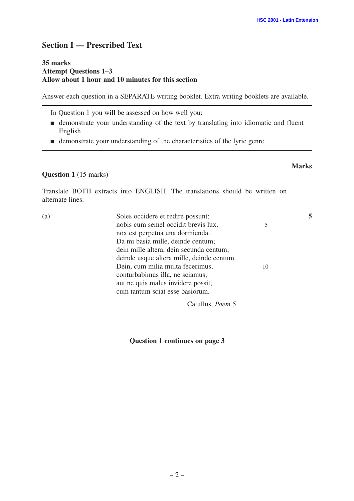# **Section I — Prescribed Text**

### **35 marks Attempt Questions 1–3 Allow about 1 hour and 10 minutes for this section**

Answer each question in a SEPARATE writing booklet. Extra writing booklets are available.

In Question 1 you will be assessed on how well you:

- demonstrate your understanding of the text by translating into idiomatic and fluent English
- demonstrate your understanding of the characteristics of the lyric genre

## **Question 1** (15 marks)

Translate BOTH extracts into ENGLISH. The translations should be written on alternate lines.

| (a) | Soles occidere et redire possunt;         |    |  |
|-----|-------------------------------------------|----|--|
|     | nobis cum semel occidit brevis lux,       |    |  |
|     | nox est perpetua una dormienda.           |    |  |
|     | Da mi basia mille, deinde centum;         |    |  |
|     | dein mille altera, dein secunda centum;   |    |  |
|     | deinde usque altera mille, deinde centum. |    |  |
|     | Dein, cum milia multa fecerimus,          | 10 |  |
|     | conturbabimus illa, ne sciamus,           |    |  |
|     | aut ne quis malus invidere possit,        |    |  |
|     | cum tantum sciat esse basiorum.           |    |  |
|     |                                           |    |  |

Catullus, *Poem* 5

**Question 1 continues on page 3**

**Marks**